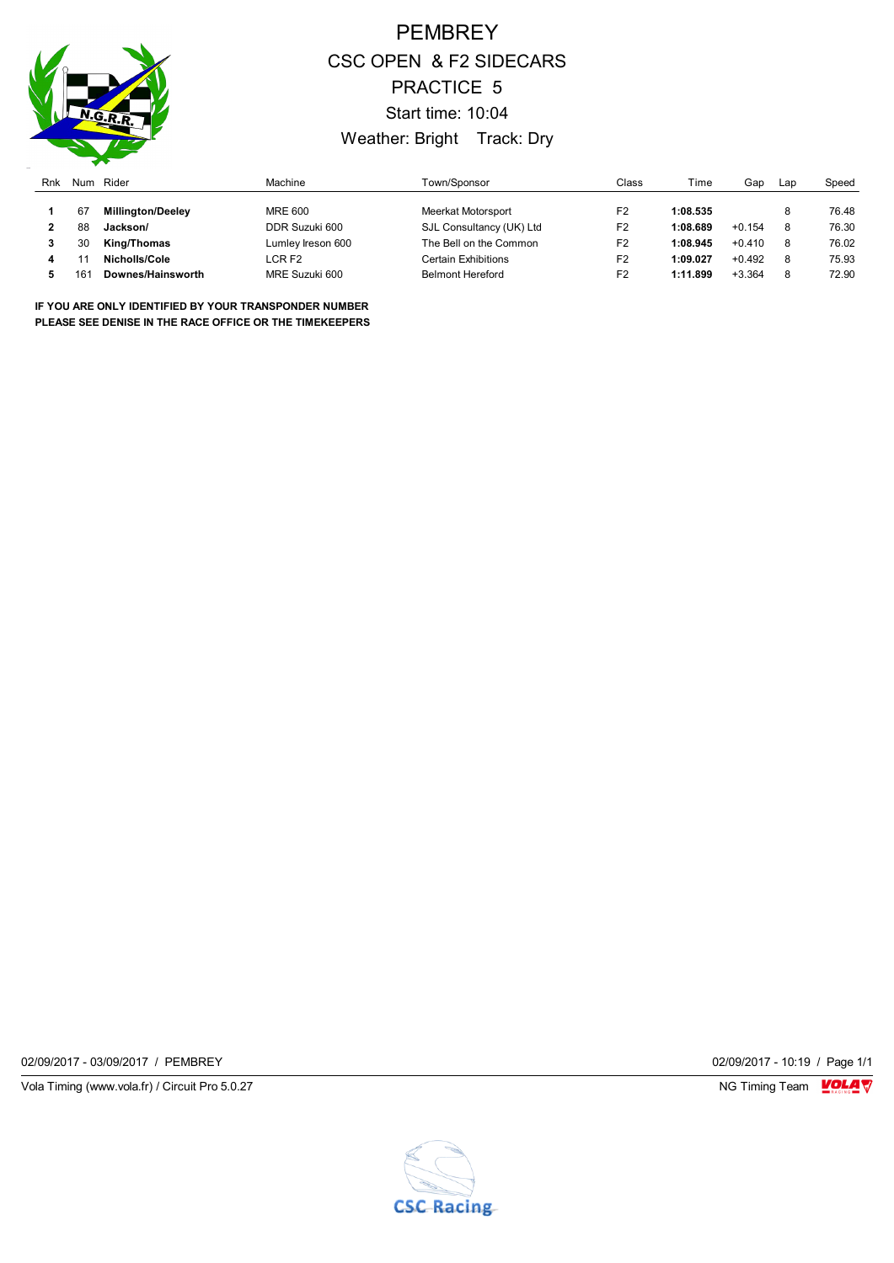

## PEMBREY CSC OPEN & F2 SIDECARS PRACTICE 5 Start time: 10:04 Weather: Bright Track: Dry

| Rnk | Num | Rider                    | Machine           | Town/Sponsor             | Class          | Time     | Gap      | Lap | Speed |
|-----|-----|--------------------------|-------------------|--------------------------|----------------|----------|----------|-----|-------|
|     | 67  | <b>Millinaton/Deelev</b> | MRE 600           | Meerkat Motorsport       | F <sub>2</sub> | 1:08.535 |          |     | 76.48 |
|     | 88  | Jackson/                 | DDR Suzuki 600    | SJL Consultancy (UK) Ltd | F <sub>2</sub> | 1:08.689 | $+0.154$ | 8   | 76.30 |
|     | 30  | King/Thomas              | Lumley Ireson 600 | The Bell on the Common   | F <sub>2</sub> | 1:08.945 | $+0.410$ | 8   | 76.02 |
|     |     | Nicholls/Cole            | LCR F2            | Certain Exhibitions      | F <sub>2</sub> | 1:09.027 | $+0.492$ | 8   | 75.93 |
|     | 161 | Downes/Hainsworth        | MRE Suzuki 600    | <b>Belmont Hereford</b>  | F <sub>2</sub> | 1:11.899 | $+3.364$ |     | 72.90 |

**IF YOU ARE ONLY IDENTIFIED BY YOUR TRANSPONDER NUMBER PLEASE SEE DENISE IN THE RACE OFFICE OR THE TIMEKEEPERS**

02/09/2017 - 03/09/2017 / PEMBREY 02/09/2017 - 10:19 / Page 1/1

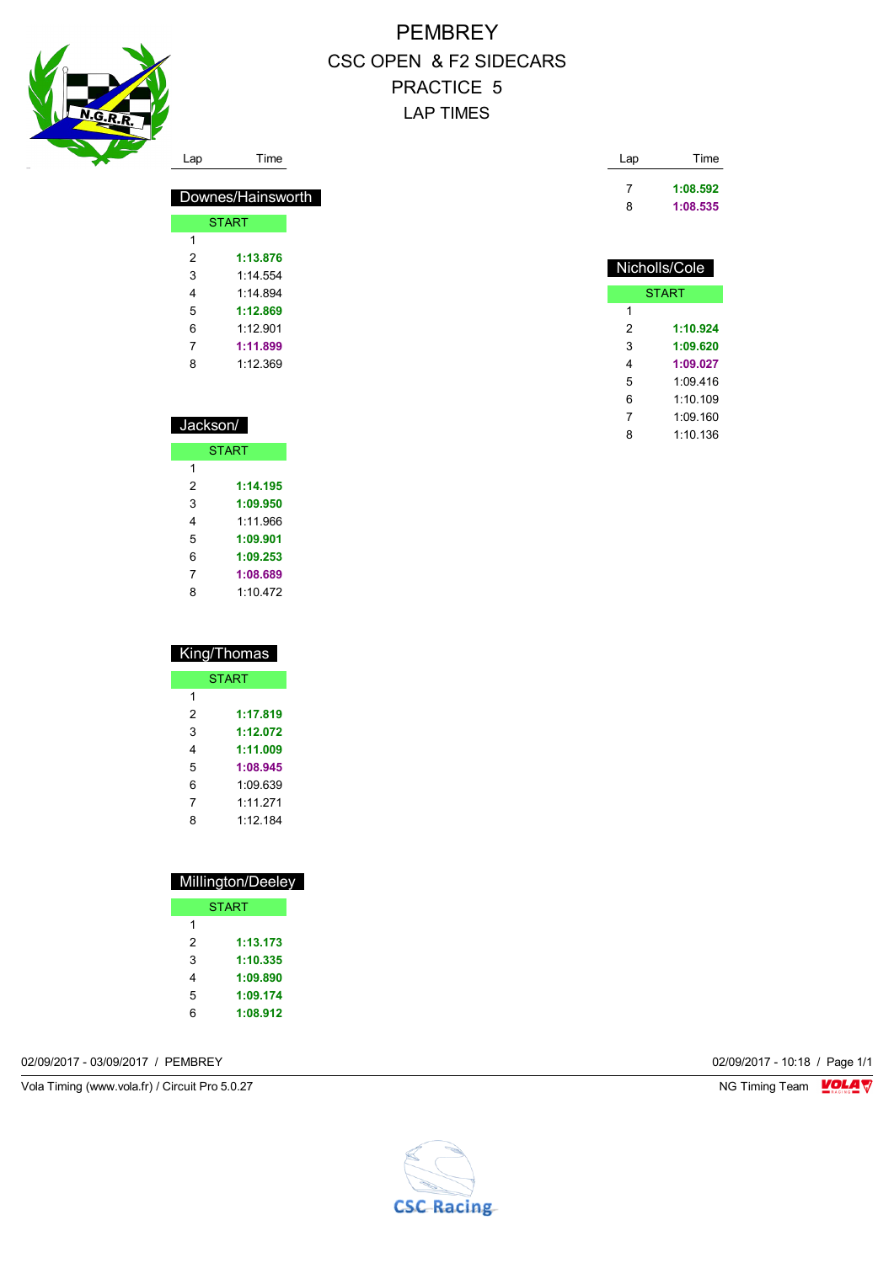

### PEMBREY CSC OPEN & F2 SIDECARS PRACTICE 5 LAP TIMES

| Lap | Time     |
|-----|----------|
|     | 1:08.592 |
| 8   | 1:08.535 |

### Nicholls/Cole

| <b>START</b> |          |  |  |  |
|--------------|----------|--|--|--|
| 1            |          |  |  |  |
| 2            | 1:10.924 |  |  |  |
| 3            | 1:09.620 |  |  |  |
| 4            | 1:09.027 |  |  |  |
| 5            | 1:09.416 |  |  |  |
| 6            | 1.10109  |  |  |  |
| 7            | 1:09.160 |  |  |  |
| 8            | 1.10136  |  |  |  |

| Jackson/     |          |  |  |  |  |  |
|--------------|----------|--|--|--|--|--|
| <b>START</b> |          |  |  |  |  |  |
| 1            |          |  |  |  |  |  |
| 2            | 1:14.195 |  |  |  |  |  |
| 3            | 1:09.950 |  |  |  |  |  |
| 4            | 1:11.966 |  |  |  |  |  |
| 5            | 1:09.901 |  |  |  |  |  |
| 6            | 1:09.253 |  |  |  |  |  |
| 7            | 1:08.689 |  |  |  |  |  |
| 8            | 1:10 472 |  |  |  |  |  |

Downes/Hainsworth

START

 **1:13.876** 1:14.554 1:14.894 **1:12.869** 1:12.901 **1:11.899** 1:12.369

| King/Thomas |              |  |  |
|-------------|--------------|--|--|
|             | <b>START</b> |  |  |
| 1           |              |  |  |
| 2           | 1:17.819     |  |  |
| 3           | 1:12.072     |  |  |
| 4           | 1:11.009     |  |  |
| 5           | 1:08.945     |  |  |
| 6           | 1:09 639     |  |  |
| 7           | 1.11 271     |  |  |
| 8           | 1.12184      |  |  |

| Millington/Deeley |          |  |  |  |
|-------------------|----------|--|--|--|
| <b>START</b>      |          |  |  |  |
| 1                 |          |  |  |  |
| 2                 | 1:13.173 |  |  |  |
| 3                 | 1:10.335 |  |  |  |
| 4                 | 1:09.890 |  |  |  |
| 5                 | 1:09.174 |  |  |  |
| հ                 | 1:08.912 |  |  |  |
|                   |          |  |  |  |

02/09/2017 - 03/09/2017 / PEMBREY 02/09/2017 - 10:18 / Page 1/1

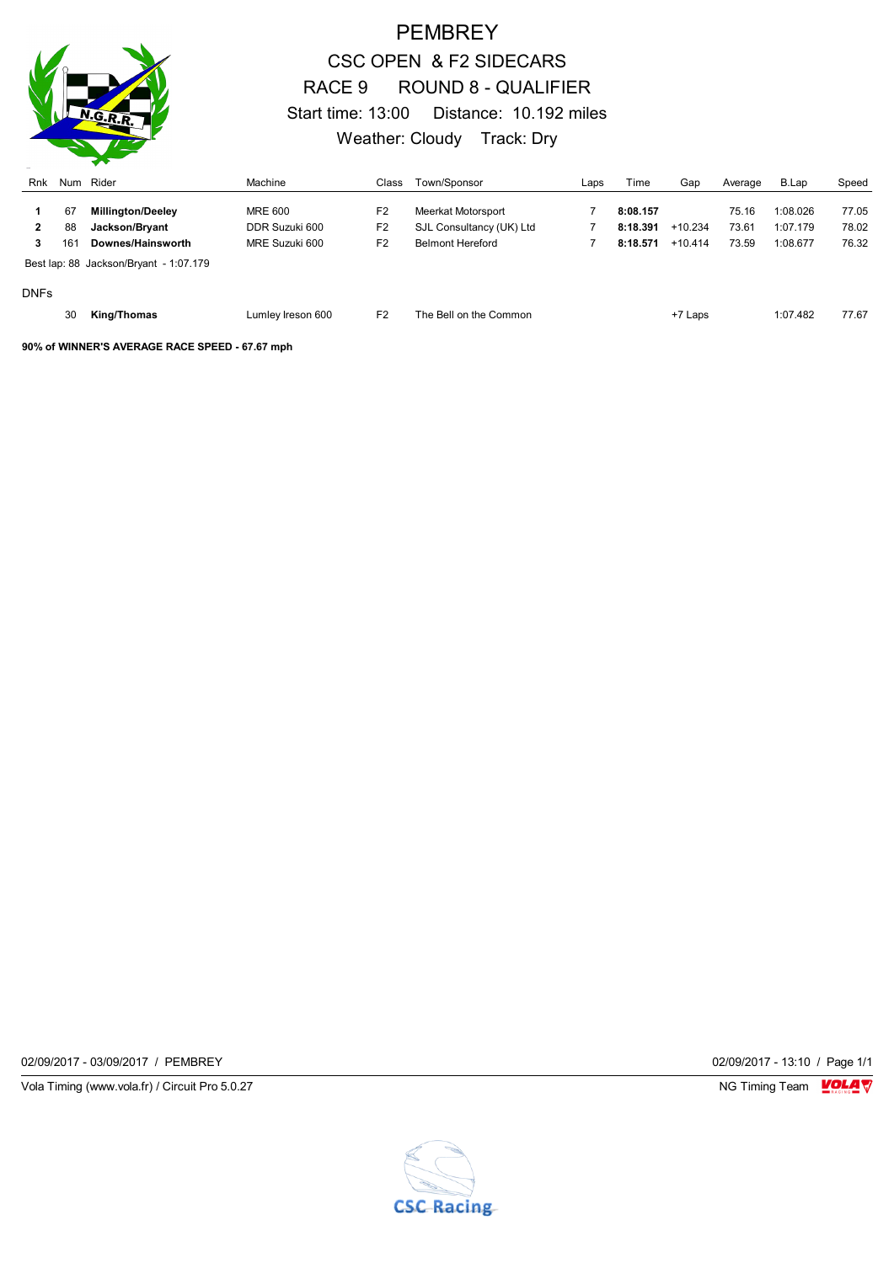

### PEMBREY CSC OPEN & F2 SIDECARS RACE 9 ROUND 8 - QUALIFIER Start time: 13:00 Distance: 10.192 miles Weather: Cloudy Track: Dry

| Rnk               |           | Num Rider                                      | Machine                          | Class                            | Town/Sponsor                                        | Laps | Time                 | Gap                    | Average        | B.Lap                | Speed          |
|-------------------|-----------|------------------------------------------------|----------------------------------|----------------------------------|-----------------------------------------------------|------|----------------------|------------------------|----------------|----------------------|----------------|
|                   | 67        | <b>Millington/Deeley</b>                       | <b>MRE 600</b>                   | F <sub>2</sub>                   | Meerkat Motorsport                                  |      | 8:08.157             |                        | 75.16          | 1:08.026             | 77.05          |
| $\mathbf{2}$<br>3 | 88<br>161 | Jackson/Bryant<br>Downes/Hainsworth            | DDR Suzuki 600<br>MRE Suzuki 600 | F <sub>2</sub><br>F <sub>2</sub> | SJL Consultancy (UK) Ltd<br><b>Belmont Hereford</b> |      | 8:18.391<br>8:18.571 | $+10.234$<br>$+10.414$ | 73.61<br>73.59 | 1:07.179<br>1:08.677 | 78.02<br>76.32 |
| <b>DNFs</b>       |           | Best lap: 88 Jackson/Bryant - 1:07.179         |                                  |                                  |                                                     |      |                      |                        |                |                      |                |
|                   | 30        | <b>King/Thomas</b>                             | Lumley Ireson 600                | F <sub>2</sub>                   | The Bell on the Common                              |      |                      | +7 Laps                |                | 1:07.482             | 77.67          |
|                   |           | 90% of WINNER'S AVERAGE RACE SPEED - 67.67 mph |                                  |                                  |                                                     |      |                      |                        |                |                      |                |

02/09/2017 - 03/09/2017 / PEMBREY 02/09/2017 - 13:10 / Page 1/1

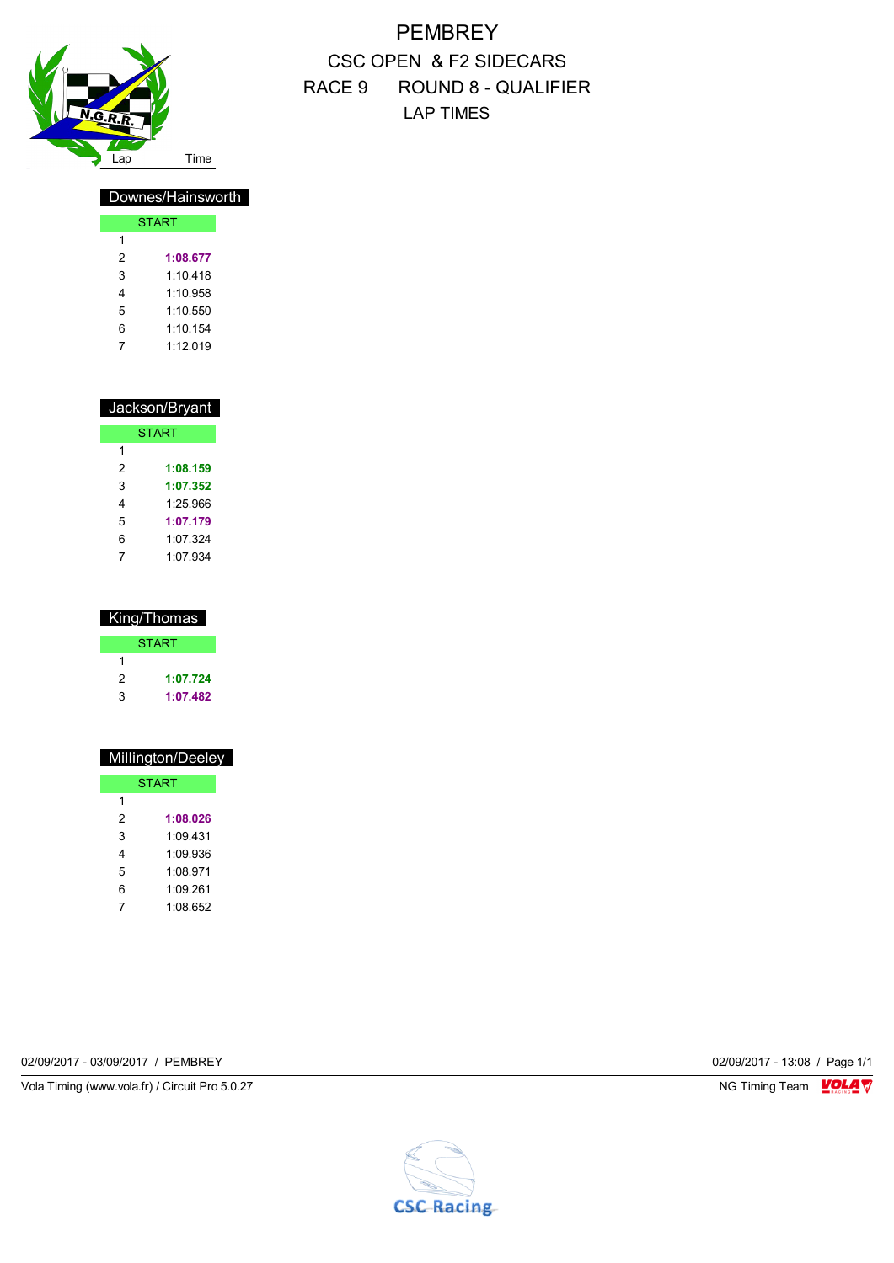

### PEMBREY CSC OPEN & F2 SIDECARS RACE 9 ROUND 8 - QUALIFIER LAP TIMES

#### Downes/Hainsworth

|   | <b>START</b> |
|---|--------------|
| 1 |              |
| 2 | 1:08.677     |
| 3 | 1:10.418     |
| 4 | 1:10 958     |
| 5 | 1:10.550     |
| 6 | 1:10.154     |
| 7 | 1.12 019     |

|   | Jackson/Bryant |
|---|----------------|
|   | <b>START</b>   |
| 1 |                |
| 2 | 1:08.159       |
| 3 | 1:07.352       |
| 4 | 1.25.966       |
| 5 | 1:07.179       |
| 6 | 1.07.324       |
| 7 | 1:07.934       |

| King/Thomas |              |  |  |
|-------------|--------------|--|--|
|             | <b>START</b> |  |  |
| 1           |              |  |  |
| 2           | 1:07.724     |  |  |
| 3           | 1:07.482     |  |  |

| Millington/Deeley |
|-------------------|
| <b>START</b>      |
|                   |
| 1:08.026          |
| 1:09.431          |
| 1.09936           |
| 1:08.971          |
| 1:09.261          |
| 1:08.652          |
|                   |

02/09/2017 - 03/09/2017 / PEMBREY 02/09/2017 - 13:08 / Page 1/1

Vola Timing (www.vola.fr) / Circuit Pro 5.0.27 NG Timing Team MC Timing Team MC Timing Team M

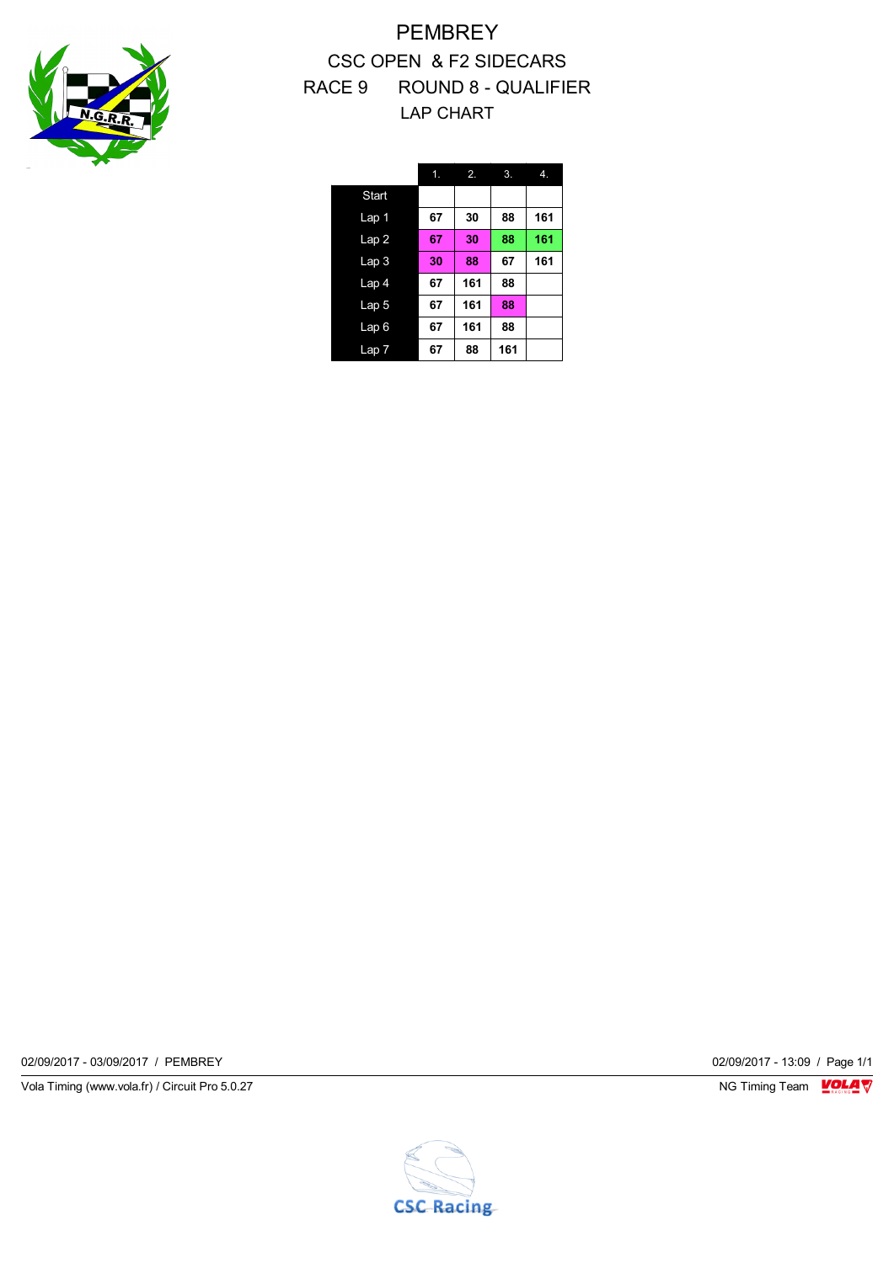

PEMBREY CSC OPEN & F2 SIDECARS RACE 9 ROUND 8 - QUALIFIER LAP CHART

|                  | 1. | 2.  | 3.  | $\mathbf{4}$ . |
|------------------|----|-----|-----|----------------|
| <b>Start</b>     |    |     |     |                |
| Lap 1            | 67 | 30  | 88  | 161            |
| Lap2             | 67 | 30  | 88  | 161            |
| Lap <sub>3</sub> | 30 | 88  | 67  | 161            |
| Lap 4            | 67 | 161 | 88  |                |
| Lap <sub>5</sub> | 67 | 161 | 88  |                |
| Lap6             | 67 | 161 | 88  |                |
| Lap 7            | 67 | 88  | 161 |                |

02/09/2017 - 03/09/2017 / PEMBREY 02/09/2017 - 13:09 / Page 1/1

Vola Timing (www.vola.fr) / Circuit Pro 5.0.27 **NG Timing Team Monet Account Property** 

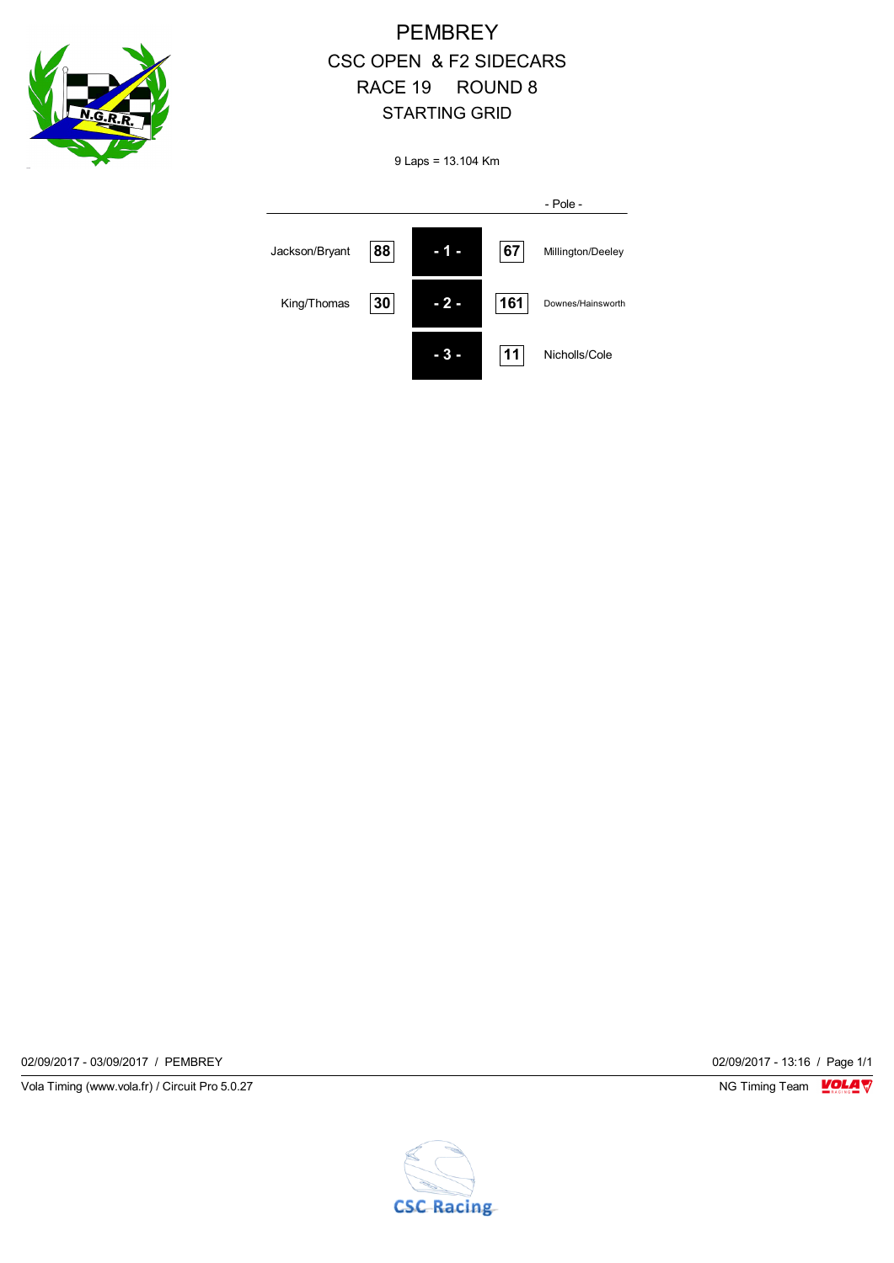

## PEMBREY CSC OPEN & F2 SIDECARS RACE 19 ROUND 8 STARTING GRID

9 Laps = 13.104 Km

|                |    |     |     | - Pole -          |
|----------------|----|-----|-----|-------------------|
| Jackson/Bryant | 88 | L   | 67  | Millington/Deeley |
| King/Thomas    | 30 | - 2 | 161 | Downes/Hainsworth |
|                |    |     | 11  | Nicholls/Cole     |

02/09/2017 - 03/09/2017 / PEMBREY 02/09/2017 - 13:16 / Page 1/1

Vola Timing (www.vola.fr) / Circuit Pro 5.0.27 **NG Timing Team Monet Account Property** 

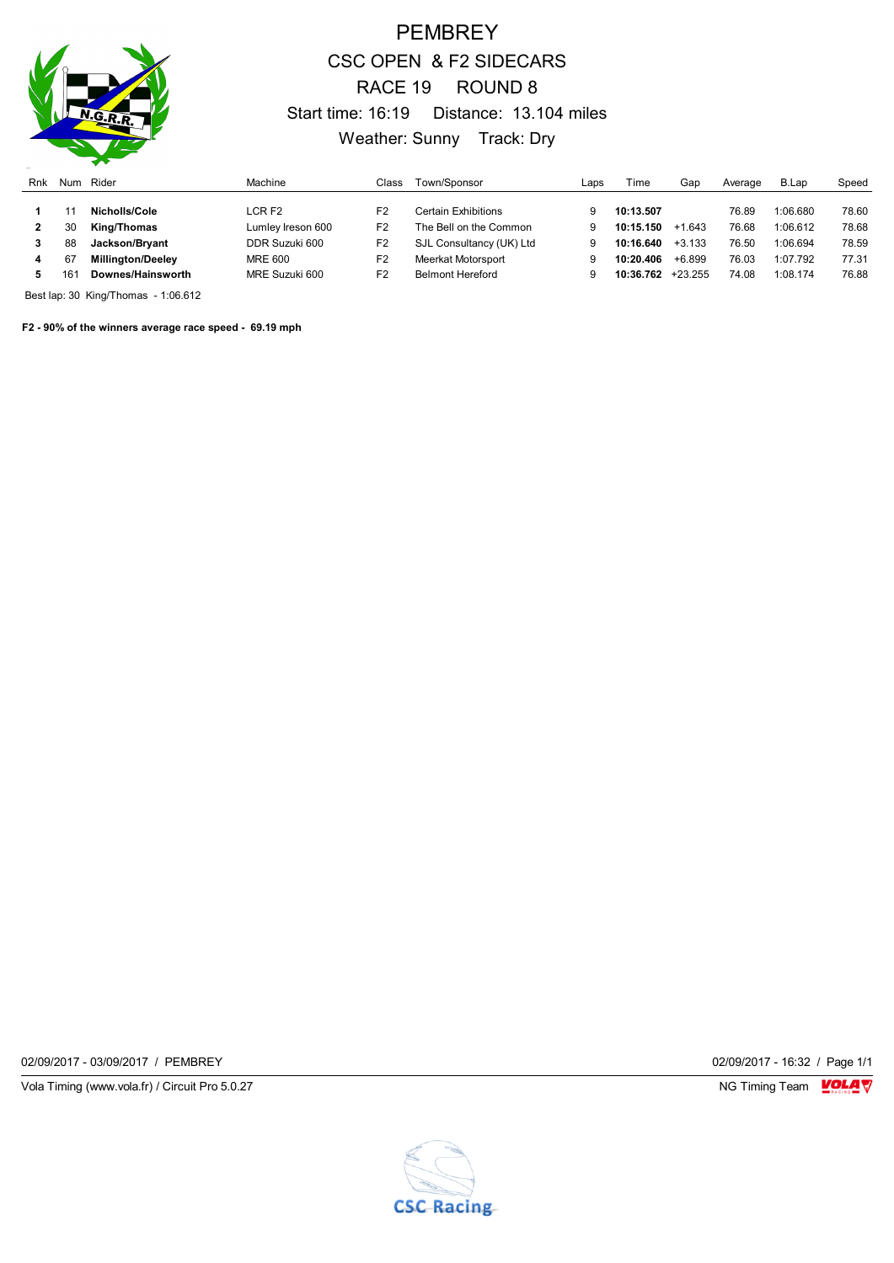

### PEMBREY CSC OPEN & F2 SIDECARS RACE 19 ROUND 8 Start time: 16:19 Distance: 13.104 miles Weather: Sunny Track: Dry

| Rnk | Num | Rider                    | Machine           | Class          | Town/Sponsor             | Laps | Гіmе      | Gap       | Average | B.Lap    | Speed |
|-----|-----|--------------------------|-------------------|----------------|--------------------------|------|-----------|-----------|---------|----------|-------|
|     |     |                          |                   |                |                          |      |           |           |         |          |       |
|     |     | Nicholls/Cole            | LCR F2            | F <sub>2</sub> | Certain Exhibitions      |      | 10:13.507 |           | 76.89   | 1:06.680 | 78.60 |
|     | 30  | King/Thomas              | Lumley Ireson 600 | F <sub>2</sub> | The Bell on the Common   |      | 10:15.150 | $+1.643$  | 76.68   | 1:06.612 | 78.68 |
|     | 88  | Jackson/Bryant           | DDR Suzuki 600    | F <sub>2</sub> | SJL Consultancy (UK) Ltd |      | 10:16.640 | $+3.133$  | 76.50   | 1:06.694 | 78.59 |
|     | 67  | <b>Millington/Deeley</b> | MRE 600           | F2             | Meerkat Motorsport       | g    | 10:20.406 | $+6.899$  | 76.03   | 1:07.792 | 77.31 |
|     | 161 | Downes/Hainsworth        | MRE Suzuki 600    | F2             | <b>Belmont Hereford</b>  | g    | 10:36.762 | $+23.255$ | 74.08   | 1:08.174 | 76.88 |

Best lap: 30 King/Thomas - 1:06.612

**F2 - 90% of the winners average race speed - 69.19 mph**

02/09/2017 - 03/09/2017 / PEMBREY 02/09/2017 - 16:32 / Page 1/1

Vola Timing (www.vola.fr) / Circuit Pro 5.0.27 **NG Timing Team Monet Account Property** 

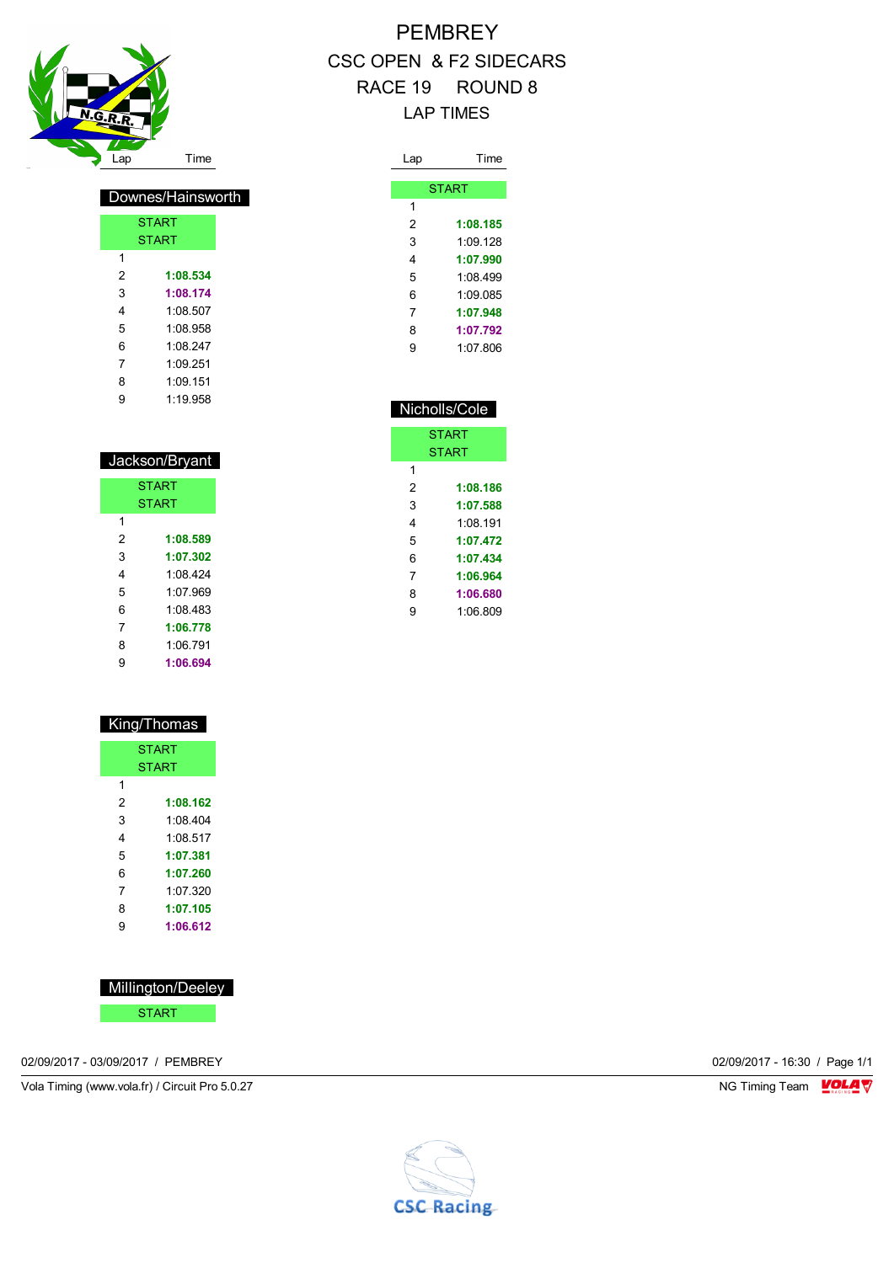

 $\overline{1}$ 

Downes/Hainsworth

**START** START

 **1:08.534 1:08.174** 1:08.507 1:08.958 1:08.247 1:09.251 1:09.151 1:19.958

# **PEMBREY** CSC OPEN & F2 SIDECARS RACE 19 ROUND 8 LAP TIMES

| Lap | Time         |
|-----|--------------|
|     |              |
|     | <b>START</b> |
| 1   |              |
| 2   | 1:08.185     |
| 3   | 1.09128      |
| 4   | 1:07.990     |
| 5   | 1.08499      |
| 6   | 1.09085      |
| 7   | 1:07.948     |
| 8   | 1:07.792     |
| 9   | 1:07 806     |
|     |              |

|   | Nicholls/Cole |
|---|---------------|
|   | <b>START</b>  |
|   | <b>START</b>  |
| 1 |               |
| 2 | 1:08.186      |
| 3 | 1:07.588      |
| 4 | 1 08 191      |
| 5 | 1:07.472      |
| 6 | 1:07.434      |
| 7 | 1:06.964      |
| 8 | 1:06.680      |
| 9 | 1:06.809      |
|   |               |

| 5 | 1.07969  |  |
|---|----------|--|
| 6 | 1:08 483 |  |
| 7 | 1:06.778 |  |
| 8 | 1:06.791 |  |
| 9 | 1:06.694 |  |
|   |          |  |
|   |          |  |
|   |          |  |

 Jackson/Bryant START START

 **1:08.589 1:07.302** 1:08.424

|   | King/Thomas  |
|---|--------------|
|   | <b>START</b> |
|   | <b>START</b> |
| 1 |              |
| 2 | 1:08.162     |
| 3 | 1.08404      |
| 4 | 1.08517      |
| 5 | 1:07.381     |
| 6 | 1:07.260     |
| 7 | 1.07.320     |
| 8 | 1:07.105     |
| 9 | 1:06.612     |

| Millington/Deeley |
|-------------------|
|-------------------|

START

02/09/2017 - 03/09/2017 / PEMBREY 02/09/2017 - 16:30 / Page 1/1

Vola Timing (www.vola.fr) / Circuit Pro 5.0.27 NG Timing Team NG Timing Team NG Timing Team NG Timing Team NG